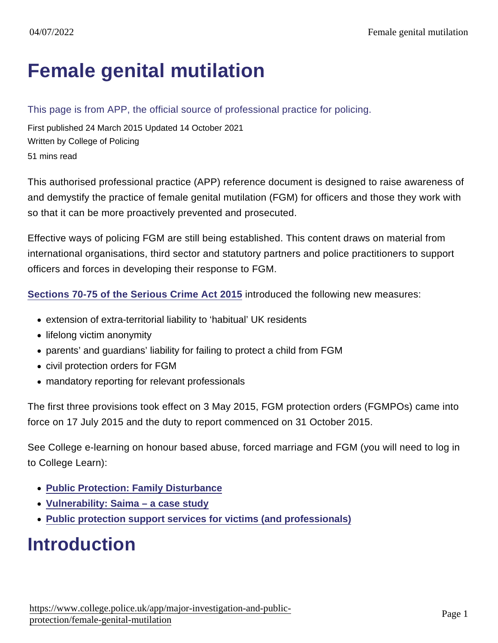# [Female genital mutilation](https://www.college.police.uk/app/major-investigation-and-public-protection/female-genital-mutilation)

#### This page is from APP, the official source of professional practice for policing.

First published 24 March 2015 Updated 14 October 2021 Written by College of Policing 51 mins read

This authorised professional practice (APP) reference document is designed to raise awareness of and demystify the practice of female genital mutilation (FGM) for officers and those they work with so that it can be more proactively prevented and prosecuted.

Effective ways of policing FGM are still being established. This content draws on material from international organisations, third sector and statutory partners and police practitioners to support officers and forces in developing their response to FGM.

[Sections 70-75 of the Serious Crime Act 2015](http://www.legislation.gov.uk/ukpga/2015/9/part/5/crossheading/female-genital-mutilation/enacted) introduced the following new measures:

- extension of extra-territorial liability to 'habitual' UK residents
- lifelong victim anonymity
- parents' and guardians' liability for failing to protect a child from FGM
- civil protection orders for FGM
- mandatory reporting for relevant professionals

The first three provisions took effect on 3 May 2015, FGM protection orders (FGMPOs) came into force on 17 July 2015 and the duty to report commenced on 31 October 2015.

See College e-learning on honour based abuse, forced marriage and FGM (you will need to log in to College Learn):

- [Public Protection: Family Disturbance](https://www.learn.college.pnn.police.uk/CL/Content/LaunchELearning/33581/-33581#/page/1)
- [Vulnerability: Saima a case study](https://www.learn.college.pnn.police.uk/Course/Details/32036/32036)
- [Public protection support services for victims \(and professionals\)](https://www.learn.college.pnn.police.uk/CourseContent/37444/Public Protection National Agencies.pdf)

# Introduction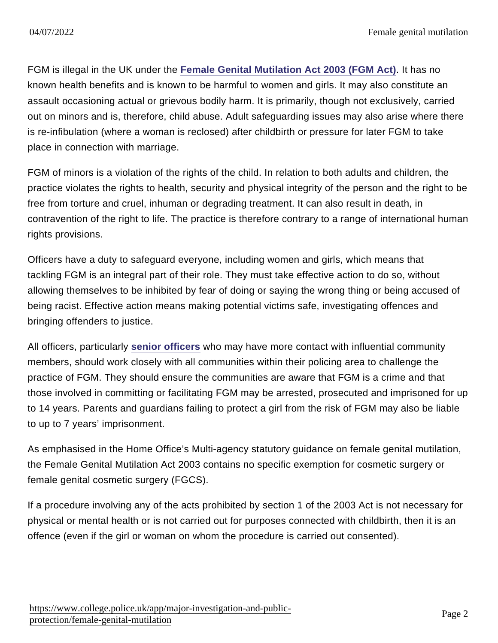FGM is illegal in the UK under the [Female Genital Mutilation Act 2003 \(FGM Act\)](http://www.legislation.gov.uk/ukpga/2003/31/contents) . It has no known health benefits and is known to be harmful to women and girls. It may also constitute an assault occasioning actual or grievous bodily harm. It is primarily, though not exclusively, carried out on minors and is, therefore, child abuse. Adult safeguarding issues may also arise where there is re-infibulation (where a woman is reclosed) after childbirth or pressure for later FGM to take place in connection with marriage.

FGM of minors is a violation of the rights of the child. In relation to both adults and children, the practice violates the rights to health, security and physical integrity of the person and the right to be free from torture and cruel, inhuman or degrading treatment. It can also result in death, in contravention of the right to life. The practice is therefore contrary to a range of international human rights provisions.

Officers have a duty to safeguard everyone, including women and girls, which means that tackling FGM is an integral part of their role. They must take effective action to do so, without allowing themselves to be inhibited by fear of doing or saying the wrong thing or being accused of being racist. Effective action means making potential victims safe, investigating offences and bringing offenders to justice.

All officers, particularly [senior officers](https://www.app.college.police.uk/app-content/major-investigation-and-public-protection/female-genital-mutilation/#the-role-of-senior-officers) who may have more contact with influential community members, should work closely with all communities within their policing area to challenge the practice of FGM. They should ensure the communities are aware that FGM is a crime and that those involved in committing or facilitating FGM may be arrested, prosecuted and imprisoned for up to 14 years. Parents and guardians failing to protect a girl from the risk of FGM may also be liable to up to 7 years' imprisonment.

As emphasised in the Home Office's Multi-agency statutory guidance on female genital mutilation, the Female Genital Mutilation Act 2003 contains no specific exemption for cosmetic surgery or female genital cosmetic surgery (FGCS).

If a procedure involving any of the acts prohibited by section 1 of the 2003 Act is not necessary for physical or mental health or is not carried out for purposes connected with childbirth, then it is an offence (even if the girl or woman on whom the procedure is carried out consented).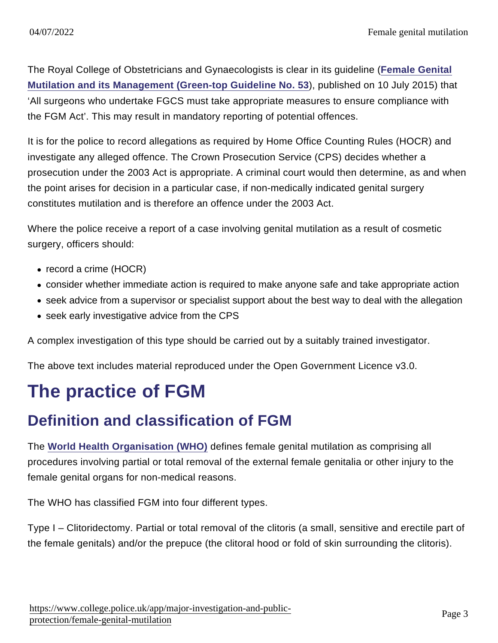The Royal College of Obstetricians and Gynaecologists is clear in its guideline [\(Female Genital](https://www.rcog.org.uk/en/guidelines-research-services/guidelines/gtg53/) [Mutilation and its Management \(Green-top Guideline No. 53](https://www.rcog.org.uk/en/guidelines-research-services/guidelines/gtg53/) ), published on 10 July 2015) that 'All surgeons who undertake FGCS must take appropriate measures to ensure compliance with the FGM Act'. This may result in mandatory reporting of potential offences.

It is for the police to record allegations as required by Home Office Counting Rules (HOCR) and investigate any alleged offence. The Crown Prosecution Service (CPS) decides whether a prosecution under the 2003 Act is appropriate. A criminal court would then determine, as and when the point arises for decision in a particular case, if non-medically indicated genital surgery constitutes mutilation and is therefore an offence under the 2003 Act.

Where the police receive a report of a case involving genital mutilation as a result of cosmetic surgery, officers should:

- record a crime (HOCR)
- consider whether immediate action is required to make anyone safe and take appropriate action
- seek advice from a supervisor or specialist support about the best way to deal with the allegation
- seek early investigative advice from the CPS

A complex investigation of this type should be carried out by a suitably trained investigator.

The above text includes material reproduced under the Open Government Licence v3.0.

# The practice of FGM

## Definition and classification of FGM

The [World Health Organisation \(WHO\)](http://www.who.int/reproductivehealth/topics/fgm/overview/en/index.html) defines female genital mutilation as comprising all procedures involving partial or total removal of the external female genitalia or other injury to the female genital organs for non-medical reasons.

The WHO has classified FGM into four different types.

Type I – Clitoridectomy. Partial or total removal of the clitoris (a small, sensitive and erectile part of the female genitals) and/or the prepuce (the clitoral hood or fold of skin surrounding the clitoris).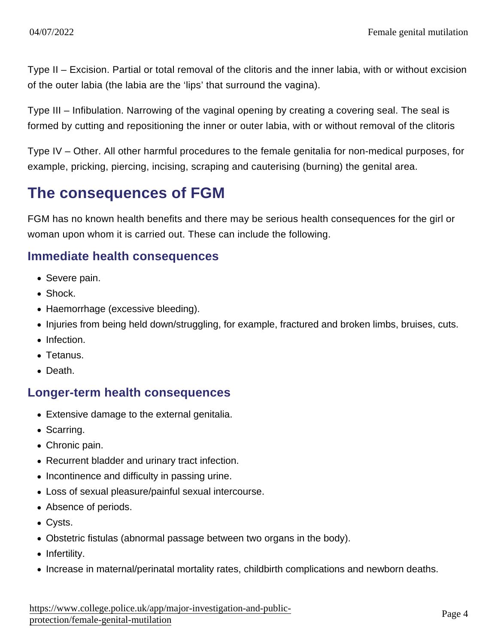Type II – Excision. Partial or total removal of the clitoris and the inner labia, with or without excision of the outer labia (the labia are the 'lips' that surround the vagina).

Type III – Infibulation. Narrowing of the vaginal opening by creating a covering seal. The seal is formed by cutting and repositioning the inner or outer labia, with or without removal of the clitoris

Type IV – Other. All other harmful procedures to the female genitalia for non-medical purposes, for example, pricking, piercing, incising, scraping and cauterising (burning) the genital area.

### The consequences of FGM

FGM has no known health benefits and there may be serious health consequences for the girl or woman upon whom it is carried out. These can include the following.

#### Immediate health consequences

- Severe pain.
- Shock.
- Haemorrhage (excessive bleeding).
- Injuries from being held down/struggling, for example, fractured and broken limbs, bruises, cuts.
- Infection.
- Tetanus.
- Death.

### Longer-term health consequences

- Extensive damage to the external genitalia.
- Scarring.
- Chronic pain.
- Recurrent bladder and urinary tract infection.
- Incontinence and difficulty in passing urine.
- Loss of sexual pleasure/painful sexual intercourse.
- Absence of periods.
- Cysts.
- Obstetric fistulas (abnormal passage between two organs in the body).
- Infertility.
- Increase in maternal/perinatal mortality rates, childbirth complications and newborn deaths.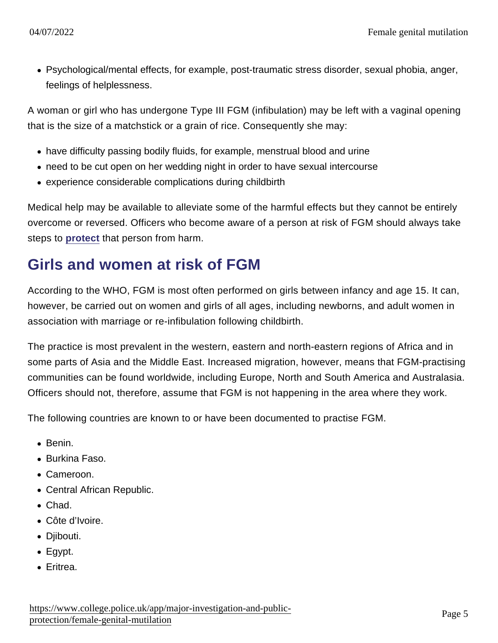Psychological/mental effects, for example, post-traumatic stress disorder, sexual phobia, anger, feelings of helplessness.

A woman or girl who has undergone Type III FGM (infibulation) may be left with a vaginal opening that is the size of a matchstick or a grain of rice. Consequently she may:

- have difficulty passing bodily fluids, for example, menstrual blood and urine
- need to be cut open on her wedding night in order to have sexual intercourse
- experience considerable complications during childbirth

Medical help may be available to alleviate some of the harmful effects but they cannot be entirely overcome or reversed. Officers who become aware of a person at risk of FGM should always take steps to [protect](https://www.app.college.police.uk/app-content/major-investigation-and-public-protection/female-genital-mutilation/#protection) that person from harm.

## Girls and women at risk of FGM

According to the WHO, FGM is most often performed on girls between infancy and age 15. It can, however, be carried out on women and girls of all ages, including newborns, and adult women in association with marriage or re-infibulation following childbirth.

The practice is most prevalent in the western, eastern and north-eastern regions of Africa and in some parts of Asia and the Middle East. Increased migration, however, means that FGM-practising communities can be found worldwide, including Europe, North and South America and Australasia. Officers should not, therefore, assume that FGM is not happening in the area where they work.

The following countries are known to or have been documented to practise FGM.

- Benin.
- Burkina Faso.
- Cameroon.
- Central African Republic.
- Chad.
- Côte d'Ivoire.
- Djibouti.
- Egypt.
- Eritrea.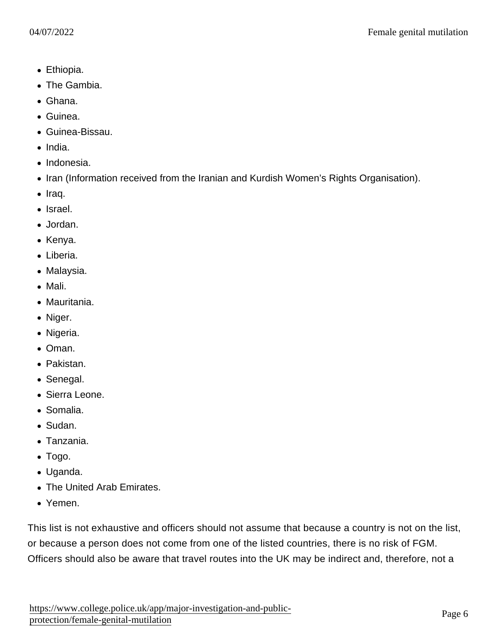- Ethiopia.
- The Gambia.
- Ghana.
- Guinea.
- Guinea-Bissau.
- India.
- Indonesia.
- Iran (Information received from the Iranian and Kurdish Women's Rights Organisation).
- $\bullet$  Iraq.
- Israel.
- Jordan.
- Kenya.
- Liberia.
- Malaysia.
- Mali.
- Mauritania.
- Niger.
- Nigeria.
- Oman.
- Pakistan.
- Senegal.
- Sierra Leone.
- Somalia.
- Sudan.
- Tanzania.
- Togo.
- Uganda.
- The United Arab Emirates.
- Yemen.

This list is not exhaustive and officers should not assume that because a country is not on the list, or because a person does not come from one of the listed countries, there is no risk of FGM. Officers should also be aware that travel routes into the UK may be indirect and, therefore, not a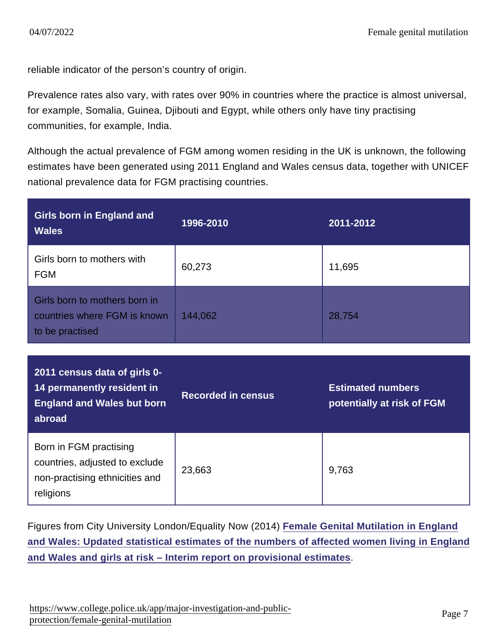reliable indicator of the person's country of origin.

Prevalence rates also vary, with rates over 90% in countries where the practice is almost universal, for example, Somalia, Guinea, Djibouti and Egypt, while others only have tiny practising communities, for example, India.

Although the actual prevalence of FGM among women residing in the UK is unknown, the following estimates have been generated using 2011 England and Wales census data, together with UNICEF national prevalence data for FGM practising countries.

| Girls born in England and<br><b>Wales</b>                                                          | 1996-2010          | 2011-2012                                              |
|----------------------------------------------------------------------------------------------------|--------------------|--------------------------------------------------------|
| Girls born to mothers with<br><b>FGM</b>                                                           | 60,273             | 11,695                                                 |
| Girls born to mothers born in<br>countries where FGM is known<br>to be practised                   | 144,062            | 28,754                                                 |
|                                                                                                    |                    |                                                        |
| 2011 census data of girls 0-<br>14 permanently resident in<br>England and Wales but born<br>abroad | Recorded in census | <b>Estimated numbers</b><br>potentially at risk of FGM |

Figures from City University London/Equality Now (2014) [Female Genital Mutilation in England](http://www.equalitynow.org/sites/default/files/FGM EN City Estimates.pdf) [and Wales: Updated statistical estimates of the numbers of affected women living in England](http://www.equalitynow.org/sites/default/files/FGM EN City Estimates.pdf) [and Wales and girls at risk – Interim report on provisional estimates](http://www.equalitynow.org/sites/default/files/FGM EN City Estimates.pdf) .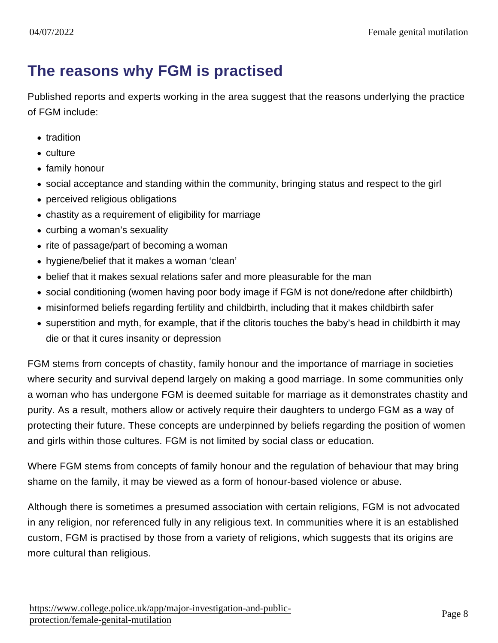### The reasons why FGM is practised

Published reports and experts working in the area suggest that the reasons underlying the practice of FGM include:

- tradition
- culture
- family honour
- social acceptance and standing within the community, bringing status and respect to the girl
- perceived religious obligations
- chastity as a requirement of eligibility for marriage
- curbing a woman's sexuality
- rite of passage/part of becoming a woman
- hygiene/belief that it makes a woman 'clean'
- belief that it makes sexual relations safer and more pleasurable for the man
- social conditioning (women having poor body image if FGM is not done/redone after childbirth)
- misinformed beliefs regarding fertility and childbirth, including that it makes childbirth safer
- superstition and myth, for example, that if the clitoris touches the baby's head in childbirth it may die or that it cures insanity or depression

FGM stems from concepts of chastity, family honour and the importance of marriage in societies where security and survival depend largely on making a good marriage. In some communities only a woman who has undergone FGM is deemed suitable for marriage as it demonstrates chastity and purity. As a result, mothers allow or actively require their daughters to undergo FGM as a way of protecting their future. These concepts are underpinned by beliefs regarding the position of women and girls within those cultures. FGM is not limited by social class or education.

Where FGM stems from concepts of family honour and the regulation of behaviour that may bring shame on the family, it may be viewed as a form of honour-based violence or abuse.

Although there is sometimes a presumed association with certain religions, FGM is not advocated in any religion, nor referenced fully in any religious text. In communities where it is an established custom, FGM is practised by those from a variety of religions, which suggests that its origins are more cultural than religious.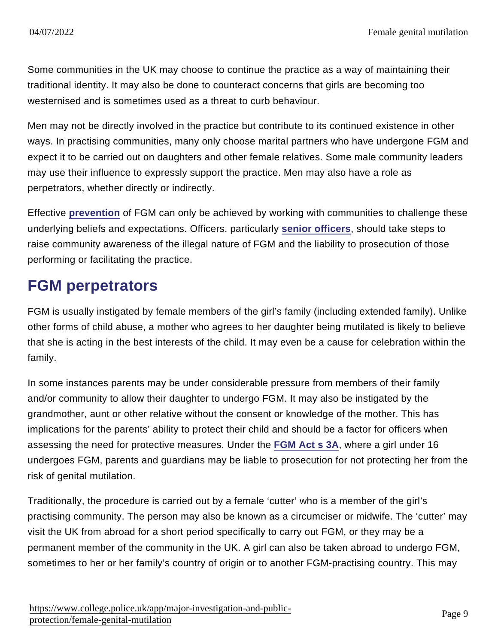Some communities in the UK may choose to continue the practice as a way of maintaining their traditional identity. It may also be done to counteract concerns that girls are becoming too westernised and is sometimes used as a threat to curb behaviour.

Men may not be directly involved in the practice but contribute to its continued existence in other ways. In practising communities, many only choose marital partners who have undergone FGM and expect it to be carried out on daughters and other female relatives. Some male community leaders may use their influence to expressly support the practice. Men may also have a role as perpetrators, whether directly or indirectly.

Effective [prevention](https://www.app.college.police.uk/app-content/major-investigation-and-public-protection/female-genital-mutilation/#prevention) of FGM can only be achieved by working with communities to challenge these underlying beliefs and expectations. Officers, particularly [senior officers](https://www.app.college.police.uk/app-content/major-investigation-and-public-protection/female-genital-mutilation/#the-role-of-senior-officers) , should take steps to raise community awareness of the illegal nature of FGM and the liability to prosecution of those performing or facilitating the practice.

## FGM perpetrators

FGM is usually instigated by female members of the girl's family (including extended family). Unlike other forms of child abuse, a mother who agrees to her daughter being mutilated is likely to believe that she is acting in the best interests of the child. It may even be a cause for celebration within the family.

In some instances parents may be under considerable pressure from members of their family and/or community to allow their daughter to undergo FGM. It may also be instigated by the grandmother, aunt or other relative without the consent or knowledge of the mother. This has implications for the parents' ability to protect their child and should be a factor for officers when assessing the need for protective measures. Under the [FGM Act s 3A](http://www.legislation.gov.uk/ukpga/2015/9/section/72/enacted) , where a girl under 16 undergoes FGM, parents and guardians may be liable to prosecution for not protecting her from the risk of genital mutilation.

Traditionally, the procedure is carried out by a female 'cutter' who is a member of the girl's practising community. The person may also be known as a circumciser or midwife. The 'cutter' may visit the UK from abroad for a short period specifically to carry out FGM, or they may be a permanent member of the community in the UK. A girl can also be taken abroad to undergo FGM, sometimes to her or her family's country of origin or to another FGM-practising country. This may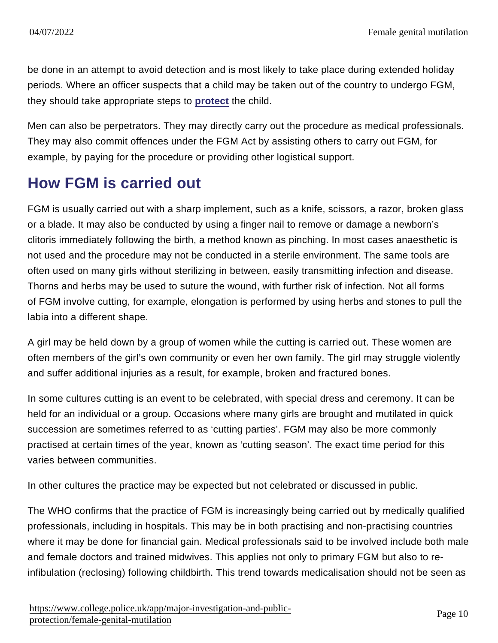be done in an attempt to avoid detection and is most likely to take place during extended holiday periods. Where an officer suspects that a child may be taken out of the country to undergo FGM, they should take appropriate steps to [protect](https://www.app.college.police.uk/app-content/major-investigation-and-public-protection/female-genital-mutilation/#protection) the child.

Men can also be perpetrators. They may directly carry out the procedure as medical professionals. They may also commit offences under the FGM Act by assisting others to carry out FGM, for example, by paying for the procedure or providing other logistical support.

## How FGM is carried out

FGM is usually carried out with a sharp implement, such as a knife, scissors, a razor, broken glass or a blade. It may also be conducted by using a finger nail to remove or damage a newborn's clitoris immediately following the birth, a method known as pinching. In most cases anaesthetic is not used and the procedure may not be conducted in a sterile environment. The same tools are often used on many girls without sterilizing in between, easily transmitting infection and disease. Thorns and herbs may be used to suture the wound, with further risk of infection. Not all forms of FGM involve cutting, for example, elongation is performed by using herbs and stones to pull the labia into a different shape.

A girl may be held down by a group of women while the cutting is carried out. These women are often members of the girl's own community or even her own family. The girl may struggle violently and suffer additional injuries as a result, for example, broken and fractured bones.

In some cultures cutting is an event to be celebrated, with special dress and ceremony. It can be held for an individual or a group. Occasions where many girls are brought and mutilated in quick succession are sometimes referred to as 'cutting parties'. FGM may also be more commonly practised at certain times of the year, known as 'cutting season'. The exact time period for this varies between communities.

In other cultures the practice may be expected but not celebrated or discussed in public.

The WHO confirms that the practice of FGM is increasingly being carried out by medically qualified professionals, including in hospitals. This may be in both practising and non-practising countries where it may be done for financial gain. Medical professionals said to be involved include both male and female doctors and trained midwives. This applies not only to primary FGM but also to reinfibulation (reclosing) following childbirth. This trend towards medicalisation should not be seen as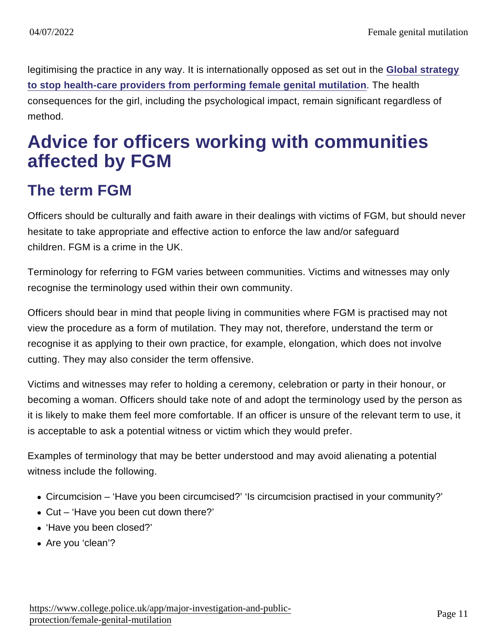legitimising the practice in any way. It is internationally opposed as set out in the [Global strategy](http://whqlibdoc.who.int/hq/2010/WHO_RHR_10.9_eng.pdf) [to stop health-care providers from performing female genital mutilation](http://whqlibdoc.who.int/hq/2010/WHO_RHR_10.9_eng.pdf) . The health consequences for the girl, including the psychological impact, remain significant regardless of method.

# Advice for officers working with communities affected by FGM

## The term FGM

Officers should be culturally and faith aware in their dealings with victims of FGM, but should never hesitate to take appropriate and effective action to enforce the law and/or safeguard children. FGM is a crime in the UK.

Terminology for referring to FGM varies between communities. Victims and witnesses may only recognise the terminology used within their own community.

Officers should bear in mind that people living in communities where FGM is practised may not view the procedure as a form of mutilation. They may not, therefore, understand the term or recognise it as applying to their own practice, for example, elongation, which does not involve cutting. They may also consider the term offensive.

Victims and witnesses may refer to holding a ceremony, celebration or party in their honour, or becoming a woman. Officers should take note of and adopt the terminology used by the person as it is likely to make them feel more comfortable. If an officer is unsure of the relevant term to use, it is acceptable to ask a potential witness or victim which they would prefer.

Examples of terminology that may be better understood and may avoid alienating a potential witness include the following.

- Circumcision 'Have you been circumcised?' 'Is circumcision practised in your community?'
- Cut 'Have you been cut down there?'
- 'Have you been closed?'
- Are you 'clean'?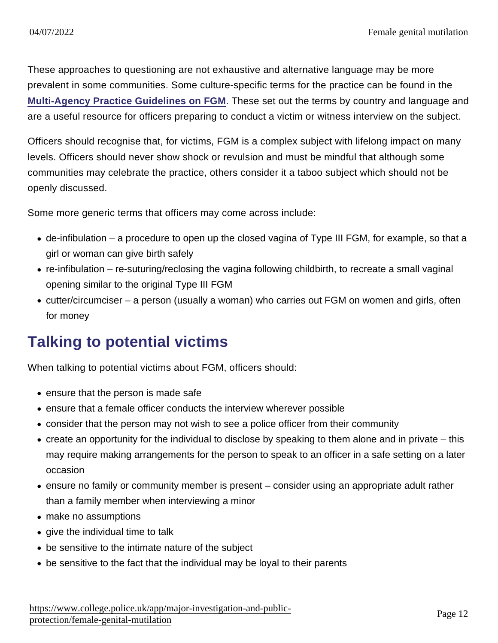These approaches to questioning are not exhaustive and alternative language may be more prevalent in some communities. Some culture-specific terms for the practice can be found in the [Multi-Agency Practice Guidelines on FGM](https://www.gov.uk/government/publications/female-genital-mutilation-guidelines) . These set out the terms by country and language and are a useful resource for officers preparing to conduct a victim or witness interview on the subject.

Officers should recognise that, for victims, FGM is a complex subject with lifelong impact on many levels. Officers should never show shock or revulsion and must be mindful that although some communities may celebrate the practice, others consider it a taboo subject which should not be openly discussed.

Some more generic terms that officers may come across include:

- de-infibulation a procedure to open up the closed vagina of Type III FGM, for example, so that a girl or woman can give birth safely
- re-infibulation re-suturing/reclosing the vagina following childbirth, to recreate a small vaginal opening similar to the original Type III FGM
- cutter/circumciser a person (usually a woman) who carries out FGM on women and girls, often for money

### Talking to potential victims

When talking to potential victims about FGM, officers should:

- ensure that the person is made safe
- ensure that a female officer conducts the interview wherever possible
- consider that the person may not wish to see a police officer from their community
- create an opportunity for the individual to disclose by speaking to them alone and in private this may require making arrangements for the person to speak to an officer in a safe setting on a later occasion
- ensure no family or community member is present consider using an appropriate adult rather than a family member when interviewing a minor
- make no assumptions
- give the individual time to talk
- be sensitive to the intimate nature of the subject
- be sensitive to the fact that the individual may be loyal to their parents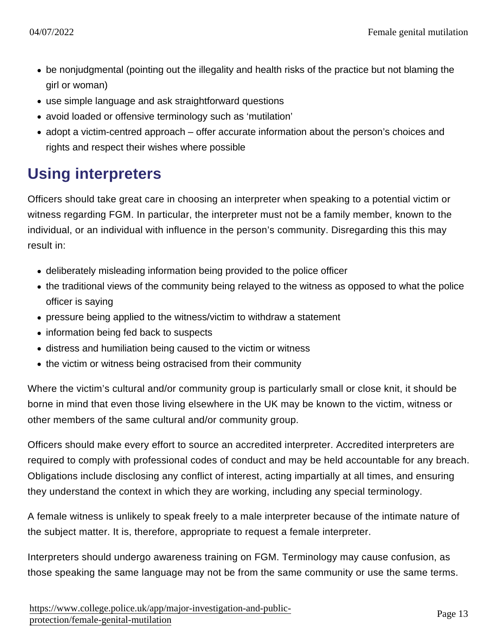- be nonjudgmental (pointing out the illegality and health risks of the practice but not blaming the girl or woman)
- use simple language and ask straightforward questions
- avoid loaded or offensive terminology such as 'mutilation'
- adopt a victim-centred approach offer accurate information about the person's choices and rights and respect their wishes where possible

## Using interpreters

Officers should take great care in choosing an interpreter when speaking to a potential victim or witness regarding FGM. In particular, the interpreter must not be a family member, known to the individual, or an individual with influence in the person's community. Disregarding this this may result in:

- deliberately misleading information being provided to the police officer
- the traditional views of the community being relayed to the witness as opposed to what the police officer is saying
- pressure being applied to the witness/victim to withdraw a statement
- information being fed back to suspects
- distress and humiliation being caused to the victim or witness
- the victim or witness being ostracised from their community

Where the victim's cultural and/or community group is particularly small or close knit, it should be borne in mind that even those living elsewhere in the UK may be known to the victim, witness or other members of the same cultural and/or community group.

Officers should make every effort to source an accredited interpreter. Accredited interpreters are required to comply with professional codes of conduct and may be held accountable for any breach. Obligations include disclosing any conflict of interest, acting impartially at all times, and ensuring they understand the context in which they are working, including any special terminology.

A female witness is unlikely to speak freely to a male interpreter because of the intimate nature of the subject matter. It is, therefore, appropriate to request a female interpreter.

Interpreters should undergo awareness training on FGM. Terminology may cause confusion, as those speaking the same language may not be from the same community or use the same terms.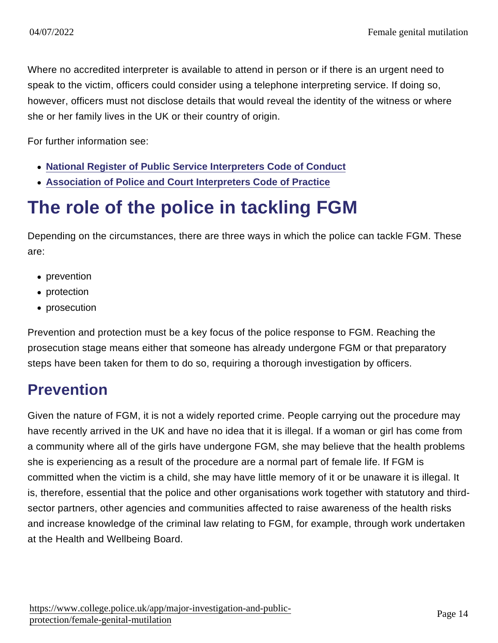Where no accredited interpreter is available to attend in person or if there is an urgent need to speak to the victim, officers could consider using a telephone interpreting service. If doing so, however, officers must not disclose details that would reveal the identity of the witness or where she or her family lives in the UK or their country of origin.

For further information see:

- [National Register of Public Service Interpreters Code of Conduct](http://www.nrpsi.org.uk/for-clients-of-interpreters/code-of-professional-conduct.html)
- [Association of Police and Court Interpreters Code of Practice](http://www.apciinterpreters.org.uk/apci_interpreters_code_of_practice.aspx)

# The role of the police in tackling FGM

Depending on the circumstances, there are three ways in which the police can tackle FGM. These are:

- prevention
- protection
- prosecution

Prevention and protection must be a key focus of the police response to FGM. Reaching the prosecution stage means either that someone has already undergone FGM or that preparatory steps have been taken for them to do so, requiring a thorough investigation by officers.

## **Prevention**

Given the nature of FGM, it is not a widely reported crime. People carrying out the procedure may have recently arrived in the UK and have no idea that it is illegal. If a woman or girl has come from a community where all of the girls have undergone FGM, she may believe that the health problems she is experiencing as a result of the procedure are a normal part of female life. If FGM is committed when the victim is a child, she may have little memory of it or be unaware it is illegal. It is, therefore, essential that the police and other organisations work together with statutory and thirdsector partners, other agencies and communities affected to raise awareness of the health risks and increase knowledge of the criminal law relating to FGM, for example, through work undertaken at the Health and Wellbeing Board.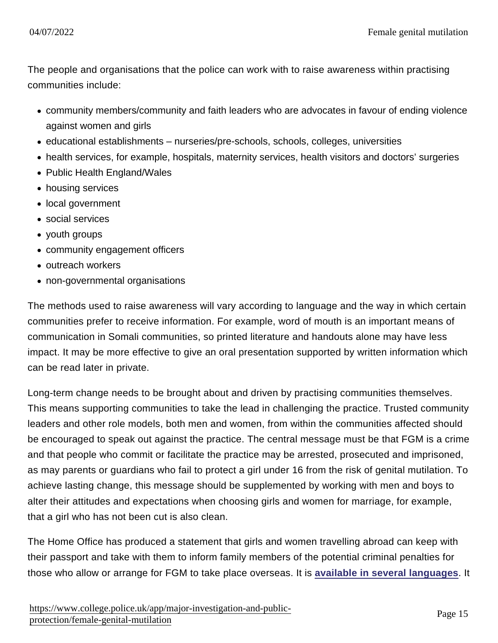The people and organisations that the police can work with to raise awareness within practising communities include:

- community members/community and faith leaders who are advocates in favour of ending violence against women and girls
- educational establishments nurseries/pre-schools, schools, colleges, universities
- health services, for example, hospitals, maternity services, health visitors and doctors' surgeries
- Public Health England/Wales
- housing services
- local government
- social services
- youth groups
- community engagement officers
- outreach workers
- non-governmental organisations

The methods used to raise awareness will vary according to language and the way in which certain communities prefer to receive information. For example, word of mouth is an important means of communication in Somali communities, so printed literature and handouts alone may have less impact. It may be more effective to give an oral presentation supported by written information which can be read later in private.

Long-term change needs to be brought about and driven by practising communities themselves. This means supporting communities to take the lead in challenging the practice. Trusted community leaders and other role models, both men and women, from within the communities affected should be encouraged to speak out against the practice. The central message must be that FGM is a crime and that people who commit or facilitate the practice may be arrested, prosecuted and imprisoned, as may parents or guardians who fail to protect a girl under 16 from the risk of genital mutilation. To achieve lasting change, this message should be supplemented by working with men and boys to alter their attitudes and expectations when choosing girls and women for marriage, for example, that a girl who has not been cut is also clean.

The Home Office has produced a statement that girls and women travelling abroad can keep with their passport and take with them to inform family members of the potential criminal penalties for those who allow or arrange for FGM to take place overseas. It is [available in several languages](https://www.gov.uk/government/publications/statement-opposing-female-genital-mutilation) . It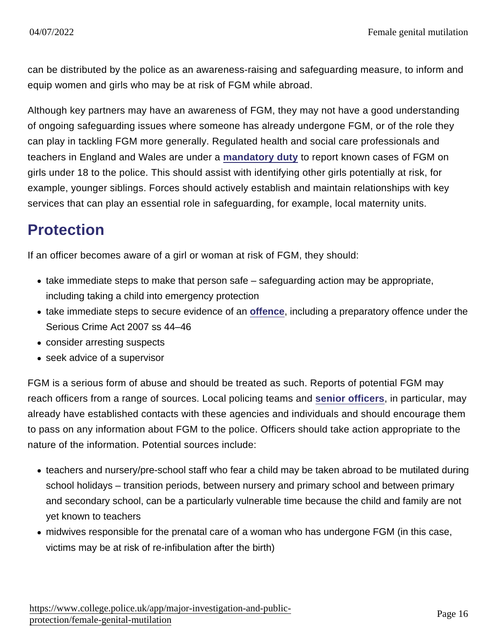can be distributed by the police as an awareness-raising and safeguarding measure, to inform and equip women and girls who may be at risk of FGM while abroad.

Although key partners may have an awareness of FGM, they may not have a good understanding of ongoing safeguarding issues where someone has already undergone FGM, or of the role they can play in tackling FGM more generally. Regulated health and social care professionals and teachers in England and Wales are under a [mandatory duty](https://www.app.college.police.uk/app-content/major-investigation-and-public-protection/female-genital-mutilation/#mandatory-reporting-duty) to report known cases of FGM on girls under 18 to the police. This should assist with identifying other girls potentially at risk, for example, younger siblings. Forces should actively establish and maintain relationships with key services that can play an essential role in safeguarding, for example, local maternity units.

## **Protection**

If an officer becomes aware of a girl or woman at risk of FGM, they should:

- take immediate steps to make that person safe safeguarding action may be appropriate, including taking a child into emergency protection
- take immediate steps to secure evidence of an [offence](https://www.app.college.police.uk/app-content/major-investigation-and-public-protection/female-genital-mutilation/#the-law) , including a preparatory offence under the Serious Crime Act 2007 ss 44–46
- consider arresting suspects
- seek advice of a supervisor

FGM is a serious form of abuse and should be treated as such. Reports of potential FGM may reach officers from a range of sources. Local policing teams and [senior officers](https://www.app.college.police.uk/app-content/major-investigation-and-public-protection/female-genital-mutilation/#the-role-of-senior-officers) , in particular, may already have established contacts with these agencies and individuals and should encourage them to pass on any information about FGM to the police. Officers should take action appropriate to the nature of the information. Potential sources include:

- teachers and nursery/pre-school staff who fear a child may be taken abroad to be mutilated during school holidays – transition periods, between nursery and primary school and between primary and secondary school, can be a particularly vulnerable time because the child and family are not yet known to teachers
- midwives responsible for the prenatal care of a woman who has undergone FGM (in this case, victims may be at risk of re-infibulation after the birth)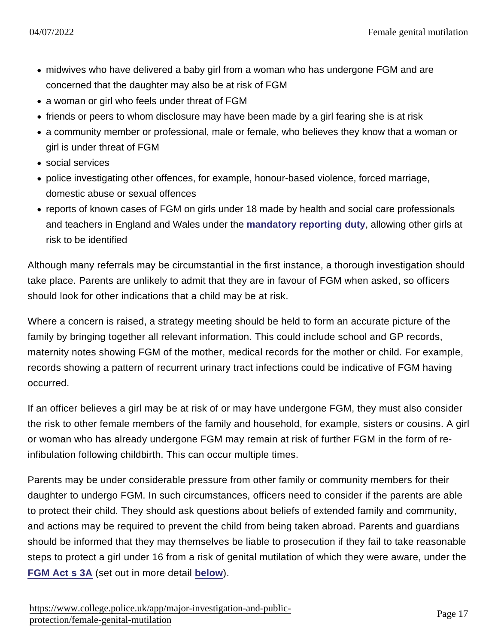- midwives who have delivered a baby girl from a woman who has undergone FGM and are concerned that the daughter may also be at risk of FGM
- a woman or girl who feels under threat of FGM
- friends or peers to whom disclosure may have been made by a girl fearing she is at risk
- a community member or professional, male or female, who believes they know that a woman or girl is under threat of FGM
- social services
- police investigating other offences, for example, honour-based violence, forced marriage, domestic abuse or sexual offences
- reports of known cases of FGM on girls under 18 made by health and social care professionals and teachers in England and Wales under the [mandatory reporting duty](https://www.app.college.police.uk/app-content/major-investigation-and-public-protection/female-genital-mutilation/#mandatory-reporting-duty) , allowing other girls at risk to be identified

Although many referrals may be circumstantial in the first instance, a thorough investigation should take place. Parents are unlikely to admit that they are in favour of FGM when asked, so officers should look for other indications that a child may be at risk.

Where a concern is raised, a strategy meeting should be held to form an accurate picture of the family by bringing together all relevant information. This could include school and GP records, maternity notes showing FGM of the mother, medical records for the mother or child. For example, records showing a pattern of recurrent urinary tract infections could be indicative of FGM having occurred.

If an officer believes a girl may be at risk of or may have undergone FGM, they must also consider the risk to other female members of the family and household, for example, sisters or cousins. A girl or woman who has already undergone FGM may remain at risk of further FGM in the form of reinfibulation following childbirth. This can occur multiple times.

Parents may be under considerable pressure from other family or community members for their daughter to undergo FGM. In such circumstances, officers need to consider if the parents are able to protect their child. They should ask questions about beliefs of extended family and community, and actions may be required to prevent the child from being taken abroad. Parents and guardians should be informed that they may themselves be liable to prosecution if they fail to take reasonable steps to protect a girl under 16 from a risk of genital mutilation of which they were aware, under the [FGM Act s 3A](http://www.legislation.gov.uk/ukpga/2015/9/section/72/enacted) (set out in more detail [below](https://www.app.college.police.uk/app-content/major-investigation-and-public-protection/female-genital-mutilation/#the-law) ).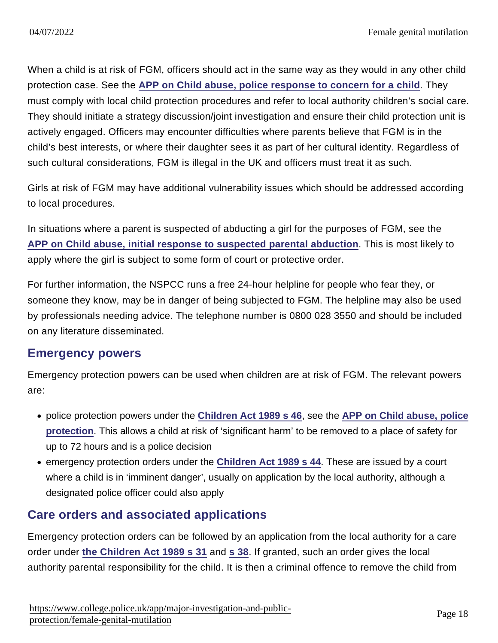When a child is at risk of FGM, officers should act in the same way as they would in any other child protection case. See the [APP on Child abuse, police response to concern for a child](https://www.app.college.police.uk/app-content/major-investigation-and-public-protection/child-abuse/concern-for-a-child/) . They must comply with local child protection procedures and refer to local authority children's social care. They should initiate a strategy discussion/joint investigation and ensure their child protection unit is actively engaged. Officers may encounter difficulties where parents believe that FGM is in the child's best interests, or where their daughter sees it as part of her cultural identity. Regardless of such cultural considerations, FGM is illegal in the UK and officers must treat it as such.

Girls at risk of FGM may have additional vulnerability issues which should be addressed according to local procedures.

In situations where a parent is suspected of abducting a girl for the purposes of FGM, see the [APP on Child abuse, initial response to suspected parental abduction](https://www.app.college.police.uk/app-content/major-investigation-and-public-protection/child-abuse/concern-for-a-child/#initial-response-to-suspected-parental-abduction) . This is most likely to apply where the girl is subject to some form of court or protective order.

For further information, the NSPCC runs a free 24-hour helpline for people who fear they, or someone they know, may be in danger of being subjected to FGM. The helpline may also be used by professionals needing advice. The telephone number is 0800 028 3550 and should be included on any literature disseminated.

#### Emergency powers

Emergency protection powers can be used when children are at risk of FGM. The relevant powers are:

- police protection powers under the [Children Act 1989 s 46](http://www.legislation.gov.uk/ukpga/1989/41/section/46) , see the [APP on Child abuse, police](https://www.app.college.police.uk/app-content/major-investigation-and-public-protection/child-abuse/concern-for-a-child/?s=abduction#police-protectio) [protection](https://www.app.college.police.uk/app-content/major-investigation-and-public-protection/child-abuse/concern-for-a-child/?s=abduction#police-protectio) . This allows a child at risk of 'significant harm' to be removed to a place of safety for up to 72 hours and is a police decision
- emergency protection orders under the [Children Act 1989 s 44](http://www.legislation.gov.uk/ukpga/1989/41/section/44) . These are issued by a court where a child is in 'imminent danger', usually on application by the local authority, although a designated police officer could also apply

### Care orders and associated applications

Emergency protection orders can be followed by an application from the local authority for a care order under [the Children Act 1989 s 31](http://www.legislation.gov.uk/ukpga/1989/41/section/31) and [s 38.](http://www.legislation.gov.uk/ukpga/1989/41/section/38) If granted, such an order gives the local authority parental responsibility for the child. It is then a criminal offence to remove the child from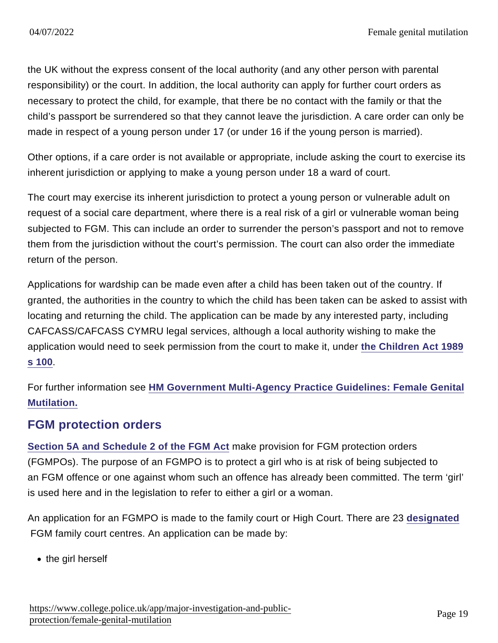the UK without the express consent of the local authority (and any other person with parental responsibility) or the court. In addition, the local authority can apply for further court orders as necessary to protect the child, for example, that there be no contact with the family or that the child's passport be surrendered so that they cannot leave the jurisdiction. A care order can only be made in respect of a young person under 17 (or under 16 if the young person is married).

Other options, if a care order is not available or appropriate, include asking the court to exercise its inherent jurisdiction or applying to make a young person under 18 a ward of court.

The court may exercise its inherent jurisdiction to protect a young person or vulnerable adult on request of a social care department, where there is a real risk of a girl or vulnerable woman being subjected to FGM. This can include an order to surrender the person's passport and not to remove them from the jurisdiction without the court's permission. The court can also order the immediate return of the person.

Applications for wardship can be made even after a child has been taken out of the country. If granted, the authorities in the country to which the child has been taken can be asked to assist with locating and returning the child. The application can be made by any interested party, including CAFCASS/CAFCASS CYMRU legal services, although a local authority wishing to make the application would need to seek permission from the court to make it, under [the Children Act 1989](http://www.legislation.gov.uk/ukpga/1989/41/section/100) [s 100.](http://www.legislation.gov.uk/ukpga/1989/41/section/100)

For further information see [HM Government Multi-Agency Practice Guidelines: Female Genital](https://www.gov.uk/government/publications/female-genital-mutilation-guidelines) [Mutilation.](https://www.gov.uk/government/publications/female-genital-mutilation-guidelines)

### FGM protection orders

[Section 5A and Schedule 2 of the FGM Act](http://www.legislation.gov.uk/ukpga/2015/9/section/73/enacted) make provision for FGM protection orders (FGMPOs). The purpose of an FGMPO is to protect a girl who is at risk of being subjected to an FGM offence or one against whom such an offence has already been committed. The term 'girl' is used here and in the legislation to refer to either a girl or a woman.

An application for an FGMPO is made to the family court or High Court. There are 23 [designated](http://content.govdelivery.com/attachments/UKMOJ/2015/07/17/file_attachments/408246/FGMPO+-+external+court+guidance+-+July+2015.pdf#page=8) FGM family court centres. An application can be made by:

• the girl herself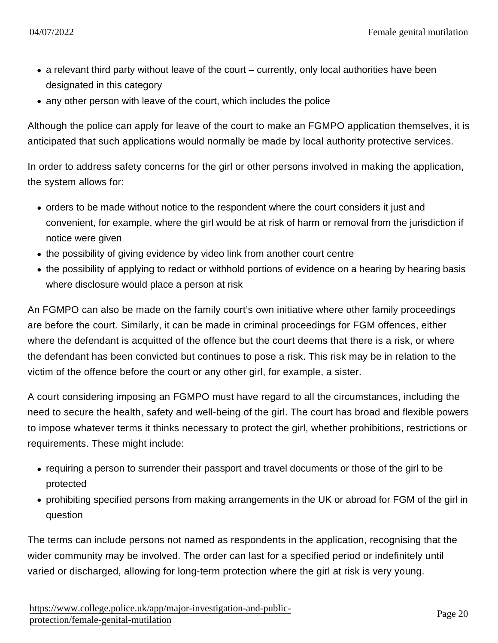- a relevant third party without leave of the court currently, only local authorities have been designated in this category
- any other person with leave of the court, which includes the police

Although the police can apply for leave of the court to make an FGMPO application themselves, it is anticipated that such applications would normally be made by local authority protective services.

In order to address safety concerns for the girl or other persons involved in making the application, the system allows for:

- orders to be made without notice to the respondent where the court considers it just and convenient, for example, where the girl would be at risk of harm or removal from the jurisdiction if notice were given
- the possibility of giving evidence by video link from another court centre
- the possibility of applying to redact or withhold portions of evidence on a hearing by hearing basis where disclosure would place a person at risk

An FGMPO can also be made on the family court's own initiative where other family proceedings are before the court. Similarly, it can be made in criminal proceedings for FGM offences, either where the defendant is acquitted of the offence but the court deems that there is a risk, or where the defendant has been convicted but continues to pose a risk. This risk may be in relation to the victim of the offence before the court or any other girl, for example, a sister.

A court considering imposing an FGMPO must have regard to all the circumstances, including the need to secure the health, safety and well-being of the girl. The court has broad and flexible powers to impose whatever terms it thinks necessary to protect the girl, whether prohibitions, restrictions or requirements. These might include:

- requiring a person to surrender their passport and travel documents or those of the girl to be protected
- prohibiting specified persons from making arrangements in the UK or abroad for FGM of the girl in question

The terms can include persons not named as respondents in the application, recognising that the wider community may be involved. The order can last for a specified period or indefinitely until varied or discharged, allowing for long-term protection where the girl at risk is very young.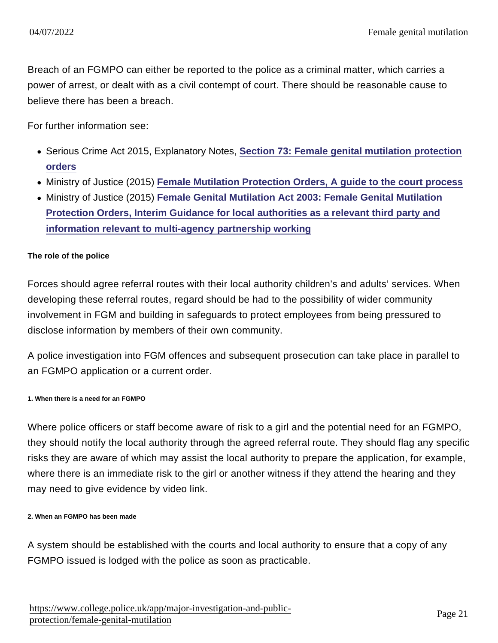Breach of an FGMPO can either be reported to the police as a criminal matter, which carries a power of arrest, or dealt with as a civil contempt of court. There should be reasonable cause to believe there has been a breach.

For further information see:

- Serious Crime Act 2015, Explanatory Notes, [Section 73: Female genital mutilation protection](http://www.legislation.gov.uk/ukpga/2015/9/notes/division/3/5/2/8) [orders](http://www.legislation.gov.uk/ukpga/2015/9/notes/division/3/5/2/8)
- Ministry of Justice (2015) [Female Mutilation Protection Orders, A guide to the court process](http://content.govdelivery.com/attachments/UKMOJ/2015/07/17/file_attachments/408246/FGMPO+-+external+court+guidance+-+July+2015.pdf)
- Ministry of Justice (2015) [Female Genital Mutilation Act 2003: Female Genital Mutilation](http://www.northwalessafeguardingboard.wales/wp-content/uploads/2015/07/FGMPOs-Relevant-Third-Party-Guidance-for-local-authorities.pdf) [Protection Orders, Interim Guidance for local authorities as a relevant third party and](http://www.northwalessafeguardingboard.wales/wp-content/uploads/2015/07/FGMPOs-Relevant-Third-Party-Guidance-for-local-authorities.pdf) [information relevant to multi-agency partnership working](http://www.northwalessafeguardingboard.wales/wp-content/uploads/2015/07/FGMPOs-Relevant-Third-Party-Guidance-for-local-authorities.pdf)

#### The role of the police

Forces should agree referral routes with their local authority children's and adults' services. When developing these referral routes, regard should be had to the possibility of wider community involvement in FGM and building in safeguards to protect employees from being pressured to disclose information by members of their own community.

A police investigation into FGM offences and subsequent prosecution can take place in parallel to an FGMPO application or a current order.

1. When there is a need for an FGMPO

Where police officers or staff become aware of risk to a girl and the potential need for an FGMPO, they should notify the local authority through the agreed referral route. They should flag any specific risks they are aware of which may assist the local authority to prepare the application, for example, where there is an immediate risk to the girl or another witness if they attend the hearing and they may need to give evidence by video link.

2. When an FGMPO has been made

A system should be established with the courts and local authority to ensure that a copy of any FGMPO issued is lodged with the police as soon as practicable.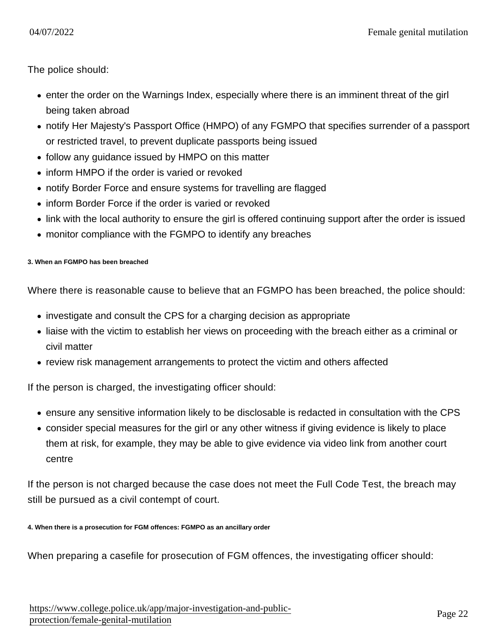The police should:

- enter the order on the Warnings Index, especially where there is an imminent threat of the girl being taken abroad
- notify Her Majesty's Passport Office (HMPO) of any FGMPO that specifies surrender of a passport or restricted travel, to prevent duplicate passports being issued
- follow any guidance issued by HMPO on this matter
- inform HMPO if the order is varied or revoked
- notify Border Force and ensure systems for travelling are flagged
- inform Border Force if the order is varied or revoked
- link with the local authority to ensure the girl is offered continuing support after the order is issued
- monitor compliance with the FGMPO to identify any breaches

3. When an FGMPO has been breached

Where there is reasonable cause to believe that an FGMPO has been breached, the police should:

- investigate and consult the CPS for a charging decision as appropriate
- liaise with the victim to establish her views on proceeding with the breach either as a criminal or civil matter
- review risk management arrangements to protect the victim and others affected

If the person is charged, the investigating officer should:

- ensure any sensitive information likely to be disclosable is redacted in consultation with the CPS
- consider special measures for the girl or any other witness if giving evidence is likely to place them at risk, for example, they may be able to give evidence via video link from another court centre

If the person is not charged because the case does not meet the Full Code Test, the breach may still be pursued as a civil contempt of court.

4. When there is a prosecution for FGM offences: FGMPO as an ancillary order

When preparing a casefile for prosecution of FGM offences, the investigating officer should: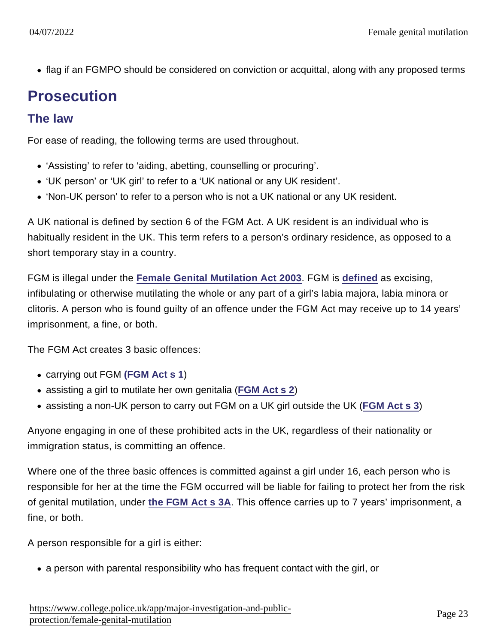flag if an FGMPO should be considered on conviction or acquittal, along with any proposed terms

### **Prosecution**

#### The law

For ease of reading, the following terms are used throughout.

- 'Assisting' to refer to 'aiding, abetting, counselling or procuring'.
- 'UK person' or 'UK girl' to refer to a 'UK national or any UK resident'.
- 'Non-UK person' to refer to a person who is not a UK national or any UK resident.

A UK national is defined by section 6 of the FGM Act. A UK resident is an individual who is habitually resident in the UK. This term refers to a person's ordinary residence, as opposed to a short temporary stay in a country.

FGM is illegal under the [Female Genital Mutilation Act 2003](http://www.legislation.gov.uk/ukpga/2003/31/contents) . FGM is [defined](http://www.legislation.gov.uk/ukpga/2003/31/section/1) as excising, infibulating or otherwise mutilating the whole or any part of a girl's labia majora, labia minora or clitoris. A person who is found guilty of an offence under the FGM Act may receive up to 14 years' imprisonment, a fine, or both.

The FGM Act creates 3 basic offences:

- carrying out FGM [\(FGM Act s 1](http://www.legislation.gov.uk/ukpga/2003/31/section/1))
- assisting a girl to mutilate her own genitalia ([FGM Act s 2](http://www.legislation.gov.uk/ukpga/2003/31/section/2))
- assisting a non-UK person to carry out FGM on a UK girl outside the UK ([FGM Act s 3](http://www.legislation.gov.uk/ukpga/2003/31/section/3))

Anyone engaging in one of these prohibited acts in the UK, regardless of their nationality or immigration status, is committing an offence.

Where one of the three basic offences is committed against a girl under 16, each person who is responsible for her at the time the FGM occurred will be liable for failing to protect her from the risk of genital mutilation, under [the FGM Act s 3A](http://www.legislation.gov.uk/ukpga/2015/9/section/72/enacted) . This offence carries up to 7 years' imprisonment, a fine, or both.

A person responsible for a girl is either:

a person with parental responsibility who has frequent contact with the girl, or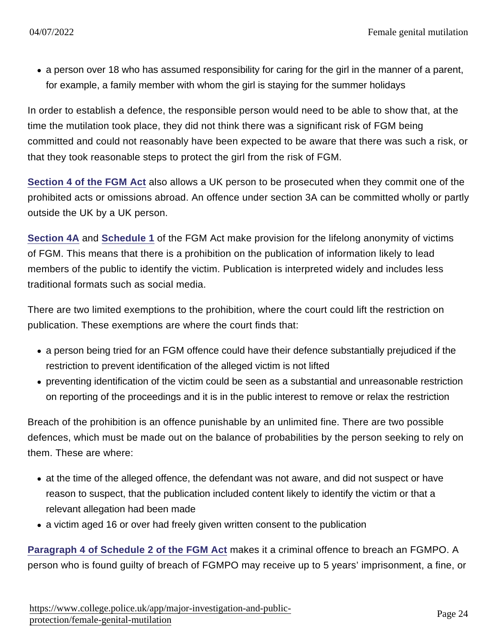• a person over 18 who has assumed responsibility for caring for the girl in the manner of a parent, for example, a family member with whom the girl is staying for the summer holidays

In order to establish a defence, the responsible person would need to be able to show that, at the time the mutilation took place, they did not think there was a significant risk of FGM being committed and could not reasonably have been expected to be aware that there was such a risk, or that they took reasonable steps to protect the girl from the risk of FGM.

[Section 4 of the FGM Act](http://www.legislation.gov.uk/ukpga/2003/31/section/4) also allows a UK person to be prosecuted when they commit one of the prohibited acts or omissions abroad. An offence under section 3A can be committed wholly or partly outside the UK by a UK person.

[Section 4A](http://www.legislation.gov.uk/ukpga/2015/9/section/71/enacted) and [Schedule 1](http://www.legislation.gov.uk/ukpga/2015/9/schedule/1/enacted) of the FGM Act make provision for the lifelong anonymity of victims of FGM. This means that there is a prohibition on the publication of information likely to lead members of the public to identify the victim. Publication is interpreted widely and includes less traditional formats such as social media.

There are two limited exemptions to the prohibition, where the court could lift the restriction on publication. These exemptions are where the court finds that:

- a person being tried for an FGM offence could have their defence substantially prejudiced if the restriction to prevent identification of the alleged victim is not lifted
- preventing identification of the victim could be seen as a substantial and unreasonable restriction on reporting of the proceedings and it is in the public interest to remove or relax the restriction

Breach of the prohibition is an offence punishable by an unlimited fine. There are two possible defences, which must be made out on the balance of probabilities by the person seeking to rely on them. These are where:

- at the time of the alleged offence, the defendant was not aware, and did not suspect or have reason to suspect, that the publication included content likely to identify the victim or that a relevant allegation had been made
- a victim aged 16 or over had freely given written consent to the publication

[Paragraph 4 of Schedule 2 of the FGM Act](http://www.legislation.gov.uk/ukpga/2015/9/section/73/enacted) makes it a criminal offence to breach an FGMPO. A person who is found guilty of breach of FGMPO may receive up to 5 years' imprisonment, a fine, or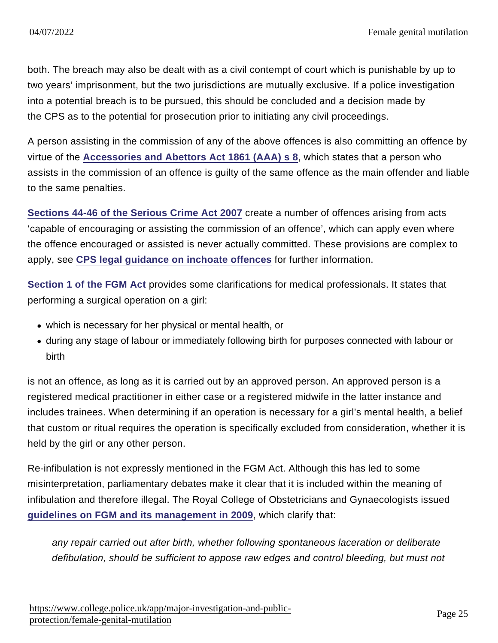both. The breach may also be dealt with as a civil contempt of court which is punishable by up to two years' imprisonment, but the two jurisdictions are mutually exclusive. If a police investigation into a potential breach is to be pursued, this should be concluded and a decision made by the CPS as to the potential for prosecution prior to initiating any civil proceedings.

A person assisting in the commission of any of the above offences is also committing an offence by virtue of the [Accessories and Abettors Act 1861 \(AAA\) s 8](http://www.legislation.gov.uk/ukpga/Vict/24-25/94/section/8) , which states that a person who assists in the commission of an offence is guilty of the same offence as the main offender and liable to the same penalties.

[Sections 44-46 of the Serious Crime Act 2007](http://www.legislation.gov.uk/ukpga/2007/27/part/2) create a number of offences arising from acts 'capable of encouraging or assisting the commission of an offence', which can apply even where the offence encouraged or assisted is never actually committed. These provisions are complex to apply, see [CPS legal guidance on inchoate offences](http://www.cps.gov.uk/legal/h_to_k/inchoate_offences/#a01) for further information.

[Section 1 of the FGM Act](http://www.legislation.gov.uk/ukpga/2003/31/section/1) provides some clarifications for medical professionals. It states that performing a surgical operation on a girl:

- which is necessary for her physical or mental health, or
- during any stage of labour or immediately following birth for purposes connected with labour or birth

is not an offence, as long as it is carried out by an approved person. An approved person is a registered medical practitioner in either case or a registered midwife in the latter instance and includes trainees. When determining if an operation is necessary for a girl's mental health, a belief that custom or ritual requires the operation is specifically excluded from consideration, whether it is held by the girl or any other person.

Re-infibulation is not expressly mentioned in the FGM Act. Although this has led to some misinterpretation, parliamentary debates make it clear that it is included within the meaning of infibulation and therefore illegal. The Royal College of Obstetricians and Gynaecologists issued [guidelines on FGM and its management in 2009](https://www.rcog.org.uk/en/guidelines-research-services/guidelines/gtg53/) , which clarify that:

any repair carried out after birth, whether following spontaneous laceration or deliberate defibulation, should be sufficient to appose raw edges and control bleeding, but must not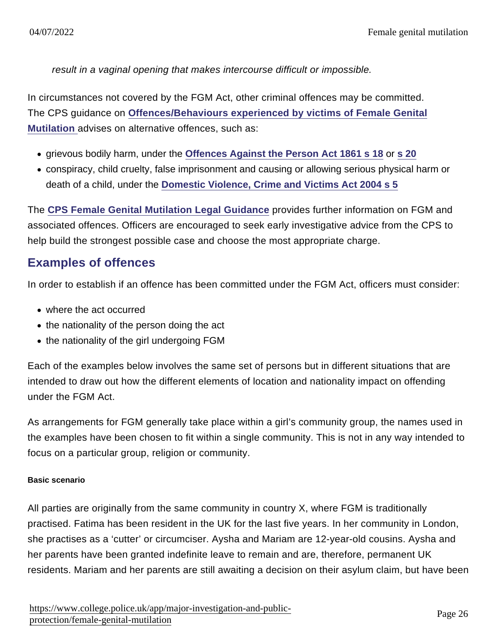result in a vaginal opening that makes intercourse difficult or impossible.

In circumstances not covered by the FGM Act, other criminal offences may be committed. The CPS guidance on [Offences/Behaviours experienced by victims of Female Genital](https://www.cps.gov.uk/sites/default/files/documents/legal_guidance/doc_800318.pdf) [Mutilation a](https://www.cps.gov.uk/sites/default/files/documents/legal_guidance/doc_800318.pdf)dvises on alternative offences, such as:

- grievous bodily harm, under the [Offences Against the Person Act 1861 s 18](http://www.legislation.gov.uk/ukpga/Vict/24-25/100/section/18) or [s 20](http://www.legislation.gov.uk/ukpga/Vict/24-25/100/section/20)
- conspiracy, child cruelty, false imprisonment and causing or allowing serious physical harm or death of a child, under the [Domestic Violence, Crime and Victims Act 2004 s 5](http://www.legislation.gov.uk/ukpga/2004/28/section/5)

The [CPS Female Genital Mutilation Legal Guidance](http://www.cps.gov.uk/legal/d_to_g/female_genital_mutilation/) provides further information on FGM and associated offences. Officers are encouraged to seek early investigative advice from the CPS to help build the strongest possible case and choose the most appropriate charge.

### Examples of offences

In order to establish if an offence has been committed under the FGM Act, officers must consider:

- where the act occurred
- $\bullet$  the nationality of the person doing the act
- the nationality of the girl undergoing FGM

Each of the examples below involves the same set of persons but in different situations that are intended to draw out how the different elements of location and nationality impact on offending under the FGM Act.

As arrangements for FGM generally take place within a girl's community group, the names used in the examples have been chosen to fit within a single community. This is not in any way intended to focus on a particular group, religion or community.

#### Basic scenario

All parties are originally from the same community in country X, where FGM is traditionally practised. Fatima has been resident in the UK for the last five years. In her community in London, she practises as a 'cutter' or circumciser. Aysha and Mariam are 12-year-old cousins. Aysha and her parents have been granted indefinite leave to remain and are, therefore, permanent UK residents. Mariam and her parents are still awaiting a decision on their asylum claim, but have been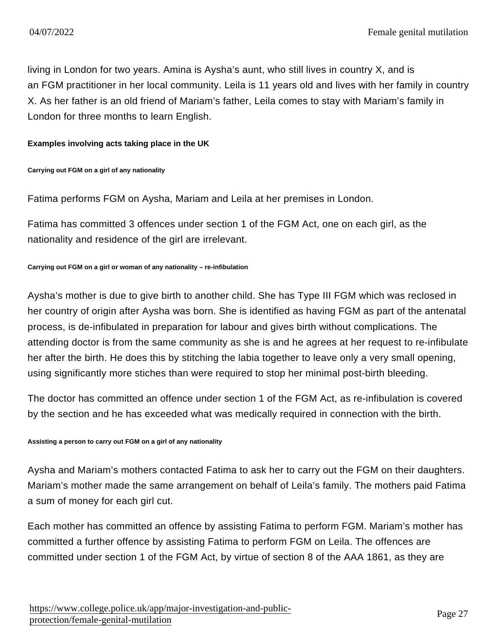living in London for two years. Amina is Aysha's aunt, who still lives in country X, and is an FGM practitioner in her local community. Leila is 11 years old and lives with her family in country X. As her father is an old friend of Mariam's father, Leila comes to stay with Mariam's family in London for three months to learn English.

Examples involving acts taking place in the UK

Carrying out FGM on a girl of any nationality

Fatima performs FGM on Aysha, Mariam and Leila at her premises in London.

Fatima has committed 3 offences under section 1 of the FGM Act, one on each girl, as the nationality and residence of the girl are irrelevant.

Carrying out FGM on a girl or woman of any nationality – re-infibulation

Aysha's mother is due to give birth to another child. She has Type III FGM which was reclosed in her country of origin after Aysha was born. She is identified as having FGM as part of the antenatal process, is de-infibulated in preparation for labour and gives birth without complications. The attending doctor is from the same community as she is and he agrees at her request to re-infibulate her after the birth. He does this by stitching the labia together to leave only a very small opening, using significantly more stiches than were required to stop her minimal post-birth bleeding.

The doctor has committed an offence under section 1 of the FGM Act, as re-infibulation is covered by the section and he has exceeded what was medically required in connection with the birth.

Assisting a person to carry out FGM on a girl of any nationality

Aysha and Mariam's mothers contacted Fatima to ask her to carry out the FGM on their daughters. Mariam's mother made the same arrangement on behalf of Leila's family. The mothers paid Fatima a sum of money for each girl cut.

Each mother has committed an offence by assisting Fatima to perform FGM. Mariam's mother has committed a further offence by assisting Fatima to perform FGM on Leila. The offences are committed under section 1 of the FGM Act, by virtue of section 8 of the AAA 1861, as they are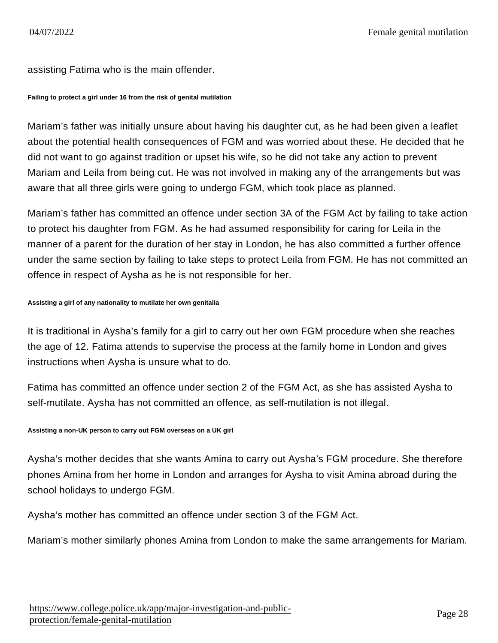#### assisting Fatima who is the main offender.

Failing to protect a girl under 16 from the risk of genital mutilation

Mariam's father was initially unsure about having his daughter cut, as he had been given a leaflet about the potential health consequences of FGM and was worried about these. He decided that he did not want to go against tradition or upset his wife, so he did not take any action to prevent Mariam and Leila from being cut. He was not involved in making any of the arrangements but was aware that all three girls were going to undergo FGM, which took place as planned.

Mariam's father has committed an offence under section 3A of the FGM Act by failing to take action to protect his daughter from FGM. As he had assumed responsibility for caring for Leila in the manner of a parent for the duration of her stay in London, he has also committed a further offence under the same section by failing to take steps to protect Leila from FGM. He has not committed an offence in respect of Aysha as he is not responsible for her.

Assisting a girl of any nationality to mutilate her own genitalia

It is traditional in Aysha's family for a girl to carry out her own FGM procedure when she reaches the age of 12. Fatima attends to supervise the process at the family home in London and gives instructions when Aysha is unsure what to do.

Fatima has committed an offence under section 2 of the FGM Act, as she has assisted Aysha to self-mutilate. Aysha has not committed an offence, as self-mutilation is not illegal.

Assisting a non-UK person to carry out FGM overseas on a UK girl

Aysha's mother decides that she wants Amina to carry out Aysha's FGM procedure. She therefore phones Amina from her home in London and arranges for Aysha to visit Amina abroad during the school holidays to undergo FGM.

Aysha's mother has committed an offence under section 3 of the FGM Act.

Mariam's mother similarly phones Amina from London to make the same arrangements for Mariam.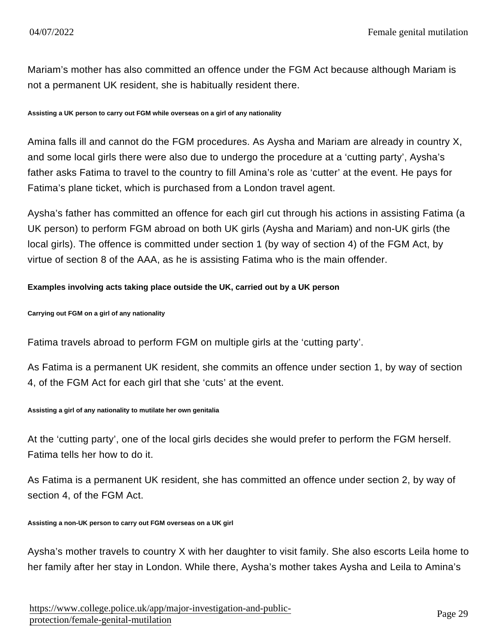Mariam's mother has also committed an offence under the FGM Act because although Mariam is not a permanent UK resident, she is habitually resident there.

Assisting a UK person to carry out FGM while overseas on a girl of any nationality

Amina falls ill and cannot do the FGM procedures. As Aysha and Mariam are already in country X, and some local girls there were also due to undergo the procedure at a 'cutting party', Aysha's father asks Fatima to travel to the country to fill Amina's role as 'cutter' at the event. He pays for Fatima's plane ticket, which is purchased from a London travel agent.

Aysha's father has committed an offence for each girl cut through his actions in assisting Fatima (a UK person) to perform FGM abroad on both UK girls (Aysha and Mariam) and non-UK girls (the local girls). The offence is committed under section 1 (by way of section 4) of the FGM Act, by virtue of section 8 of the AAA, as he is assisting Fatima who is the main offender.

Examples involving acts taking place outside the UK, carried out by a UK person

Carrying out FGM on a girl of any nationality

Fatima travels abroad to perform FGM on multiple girls at the 'cutting party'.

As Fatima is a permanent UK resident, she commits an offence under section 1, by way of section 4, of the FGM Act for each girl that she 'cuts' at the event.

Assisting a girl of any nationality to mutilate her own genitalia

At the 'cutting party', one of the local girls decides she would prefer to perform the FGM herself. Fatima tells her how to do it.

As Fatima is a permanent UK resident, she has committed an offence under section 2, by way of section 4, of the FGM Act.

Assisting a non-UK person to carry out FGM overseas on a UK girl

Aysha's mother travels to country X with her daughter to visit family. She also escorts Leila home to her family after her stay in London. While there, Aysha's mother takes Aysha and Leila to Amina's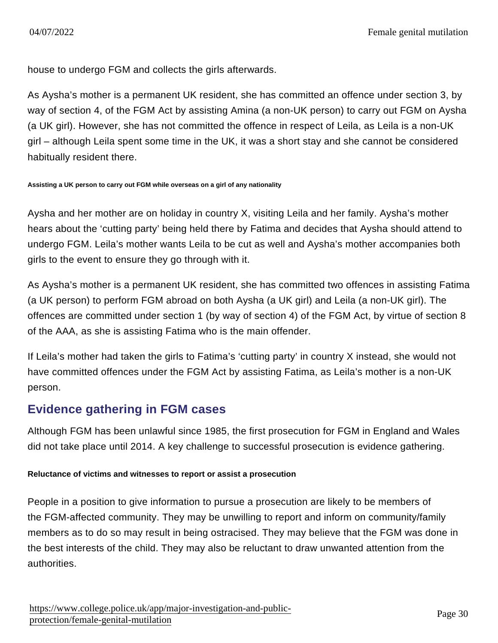house to undergo FGM and collects the girls afterwards.

As Aysha's mother is a permanent UK resident, she has committed an offence under section 3, by way of section 4, of the FGM Act by assisting Amina (a non-UK person) to carry out FGM on Aysha (a UK girl). However, she has not committed the offence in respect of Leila, as Leila is a non-UK girl – although Leila spent some time in the UK, it was a short stay and she cannot be considered habitually resident there.

Assisting a UK person to carry out FGM while overseas on a girl of any nationality

Aysha and her mother are on holiday in country X, visiting Leila and her family. Aysha's mother hears about the 'cutting party' being held there by Fatima and decides that Aysha should attend to undergo FGM. Leila's mother wants Leila to be cut as well and Aysha's mother accompanies both girls to the event to ensure they go through with it.

As Aysha's mother is a permanent UK resident, she has committed two offences in assisting Fatima (a UK person) to perform FGM abroad on both Aysha (a UK girl) and Leila (a non-UK girl). The offences are committed under section 1 (by way of section 4) of the FGM Act, by virtue of section 8 of the AAA, as she is assisting Fatima who is the main offender.

If Leila's mother had taken the girls to Fatima's 'cutting party' in country X instead, she would not have committed offences under the FGM Act by assisting Fatima, as Leila's mother is a non-UK person.

### Evidence gathering in FGM cases

Although FGM has been unlawful since 1985, the first prosecution for FGM in England and Wales did not take place until 2014. A key challenge to successful prosecution is evidence gathering.

Reluctance of victims and witnesses to report or assist a prosecution

People in a position to give information to pursue a prosecution are likely to be members of the FGM-affected community. They may be unwilling to report and inform on community/family members as to do so may result in being ostracised. They may believe that the FGM was done in the best interests of the child. They may also be reluctant to draw unwanted attention from the authorities.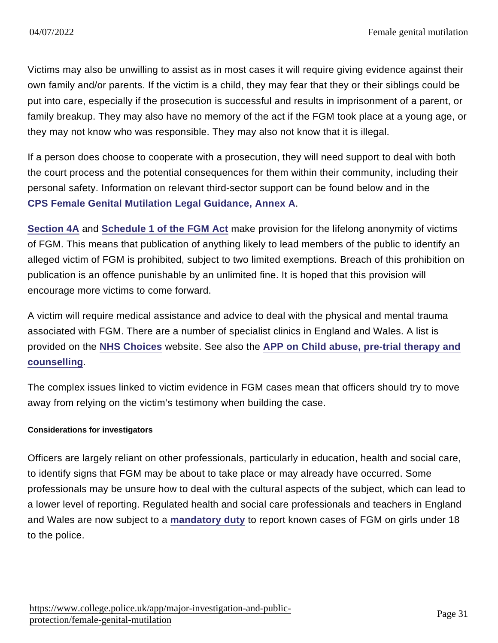Victims may also be unwilling to assist as in most cases it will require giving evidence against their own family and/or parents. If the victim is a child, they may fear that they or their siblings could be put into care, especially if the prosecution is successful and results in imprisonment of a parent, or family breakup. They may also have no memory of the act if the FGM took place at a young age, or they may not know who was responsible. They may also not know that it is illegal.

If a person does choose to cooperate with a prosecution, they will need support to deal with both the court process and the potential consequences for them within their community, including their personal safety. Information on relevant third-sector support can be found below and in the [CPS Female Genital Mutilation Legal Guidance, Annex A](https://www.cps.gov.uk/legal-guidance/female-genital-mutilation-legal-guidance#annexa) .

[Section 4A](http://www.legislation.gov.uk/ukpga/2015/9/section/71/enacted) and [Schedule 1 of the FGM Act](http://www.legislation.gov.uk/ukpga/2015/9/schedule/1/enacted) make provision for the lifelong anonymity of victims of FGM. This means that publication of anything likely to lead members of the public to identify an alleged victim of FGM is prohibited, subject to two limited exemptions. Breach of this prohibition on publication is an offence punishable by an unlimited fine. It is hoped that this provision will encourage more victims to come forward.

A victim will require medical assistance and advice to deal with the physical and mental trauma associated with FGM. There are a number of specialist clinics in England and Wales. A list is provided on the [NHS Choices](http://www.nhs.uk/NHSEngland/AboutNHSservices/sexual-health-services/Pages/fgm-health-services-for-women.aspx) website. See also the [APP on Child abuse, pre-trial therapy and](https://www.app.college.police.uk/app-content/major-investigation-and-public-protection/child-abuse/further-investigation/#pre-trial-therapy-and-counselling) [counselling](https://www.app.college.police.uk/app-content/major-investigation-and-public-protection/child-abuse/further-investigation/#pre-trial-therapy-and-counselling) .

The complex issues linked to victim evidence in FGM cases mean that officers should try to move away from relying on the victim's testimony when building the case.

#### Considerations for investigators

Officers are largely reliant on other professionals, particularly in education, health and social care, to identify signs that FGM may be about to take place or may already have occurred. Some professionals may be unsure how to deal with the cultural aspects of the subject, which can lead to a lower level of reporting. Regulated health and social care professionals and teachers in England and Wales are now subject to a [mandatory duty](https://www.app.college.police.uk/app-content/major-investigation-and-public-protection/female-genital-mutilation/#mandatory-reporting-duty) to report known cases of FGM on girls under 18 to the police.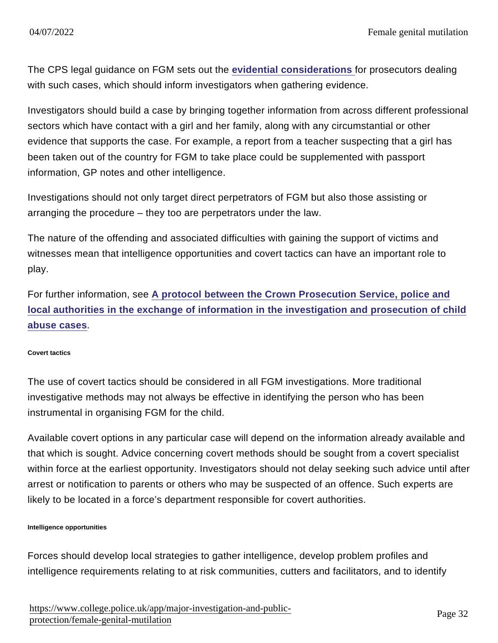The CPS legal guidance on FGM sets out the [evidential considerations f](http://www.cps.gov.uk/legal/d_to_g/female_genital_mutilation/#evidential)or prosecutors dealing with such cases, which should inform investigators when gathering evidence.

Investigators should build a case by bringing together information from across different professional sectors which have contact with a girl and her family, along with any circumstantial or other evidence that supports the case. For example, a report from a teacher suspecting that a girl has been taken out of the country for FGM to take place could be supplemented with passport information, GP notes and other intelligence.

Investigations should not only target direct perpetrators of FGM but also those assisting or arranging the procedure – they too are perpetrators under the law.

The nature of the offending and associated difficulties with gaining the support of victims and witnesses mean that intelligence opportunities and covert tactics can have an important role to play.

For further information, see [A protocol between the Crown Prosecution Service, police and](http://www.cps.gov.uk/publications/agencies/protocolletter.html) [local authorities in the exchange of information in the investigation and prosecution of child](http://www.cps.gov.uk/publications/agencies/protocolletter.html) [abuse cases](http://www.cps.gov.uk/publications/agencies/protocolletter.html) .

#### Covert tactics

The use of covert tactics should be considered in all FGM investigations. More traditional investigative methods may not always be effective in identifying the person who has been instrumental in organising FGM for the child.

Available covert options in any particular case will depend on the information already available and that which is sought. Advice concerning covert methods should be sought from a covert specialist within force at the earliest opportunity. Investigators should not delay seeking such advice until after arrest or notification to parents or others who may be suspected of an offence. Such experts are likely to be located in a force's department responsible for covert authorities.

Intelligence opportunities

Forces should develop local strategies to gather intelligence, develop problem profiles and intelligence requirements relating to at risk communities, cutters and facilitators, and to identify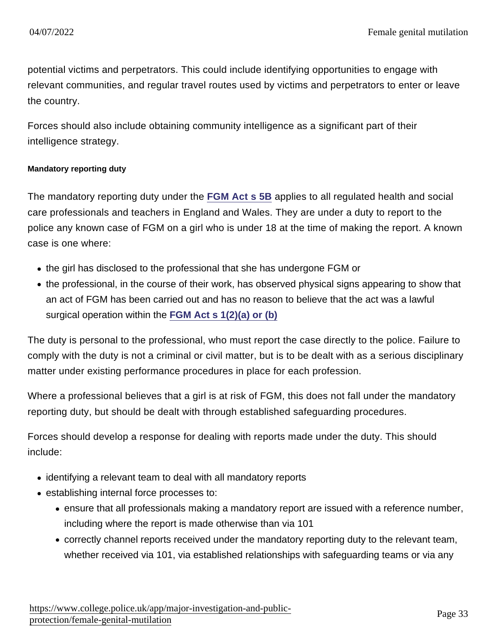potential victims and perpetrators. This could include identifying opportunities to engage with relevant communities, and regular travel routes used by victims and perpetrators to enter or leave the country.

Forces should also include obtaining community intelligence as a significant part of their intelligence strategy.

#### Mandatory reporting duty

The mandatory reporting duty under the [FGM Act s 5B](http://www.legislation.gov.uk/ukpga/2015/9/section/73/enacted) applies to all regulated health and social care professionals and teachers in England and Wales. They are under a duty to report to the police any known case of FGM on a girl who is under 18 at the time of making the report. A known case is one where:

- the girl has disclosed to the professional that she has undergone FGM or
- the professional, in the course of their work, has observed physical signs appearing to show that an act of FGM has been carried out and has no reason to believe that the act was a lawful surgical operation within the [FGM Act s 1\(2\)\(a\) or \(b\)](http://www.legislation.gov.uk/ukpga/2003/31/section/1)

The duty is personal to the professional, who must report the case directly to the police. Failure to comply with the duty is not a criminal or civil matter, but is to be dealt with as a serious disciplinary matter under existing performance procedures in place for each profession.

Where a professional believes that a girl is at risk of FGM, this does not fall under the mandatory reporting duty, but should be dealt with through established safeguarding procedures.

Forces should develop a response for dealing with reports made under the duty. This should include:

- identifying a relevant team to deal with all mandatory reports
- establishing internal force processes to:
	- ensure that all professionals making a mandatory report are issued with a reference number, including where the report is made otherwise than via 101
	- correctly channel reports received under the mandatory reporting duty to the relevant team, whether received via 101, via established relationships with safeguarding teams or via any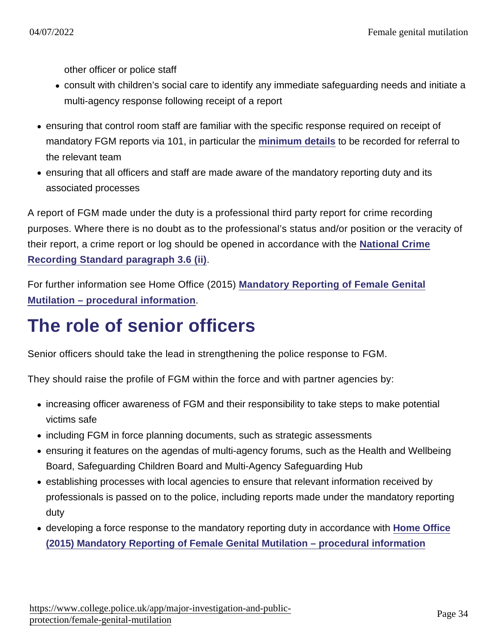other officer or police staff

- consult with children's social care to identify any immediate safeguarding needs and initiate a multi-agency response following receipt of a report
- ensuring that control room staff are familiar with the specific response required on receipt of mandatory FGM reports via 101, in particular the [minimum details](https://www.gov.uk/government/publications/mandatory-reporting-of-female-genital-mutilation-procedural-information) to be recorded for referral to the relevant team
- ensuring that all officers and staff are made aware of the mandatory reporting duty and its associated processes

A report of FGM made under the duty is a professional third party report for crime recording purposes. Where there is no doubt as to the professional's status and/or position or the veracity of their report, a crime report or log should be opened in accordance with the [National Crime](https://www.gov.uk/government/uploads/system/uploads/attachment_data/file/452294/count-general-august-2015.pdf#page=4) [Recording Standard paragraph 3.6 \(ii\)](https://www.gov.uk/government/uploads/system/uploads/attachment_data/file/452294/count-general-august-2015.pdf#page=4) .

For further information see Home Office (2015) [Mandatory Reporting of Female Genital](https://www.gov.uk/government/publications/mandatory-reporting-of-female-genital-mutilation-procedural-information) [Mutilation – procedural information](https://www.gov.uk/government/publications/mandatory-reporting-of-female-genital-mutilation-procedural-information) .

# The role of senior officers

Senior officers should take the lead in strengthening the police response to FGM.

They should raise the profile of FGM within the force and with partner agencies by:

- increasing officer awareness of FGM and their responsibility to take steps to make potential victims safe
- including FGM in force planning documents, such as strategic assessments
- ensuring it features on the agendas of multi-agency forums, such as the Health and Wellbeing Board, Safeguarding Children Board and Multi-Agency Safeguarding Hub
- establishing processes with local agencies to ensure that relevant information received by professionals is passed on to the police, including reports made under the mandatory reporting duty
- developing a force response to the mandatory reporting duty in accordance with [Home Office](https://www.gov.uk/government/publications/mandatory-reporting-of-female-genital-mutilation-procedural-information) [\(2015\) Mandatory Reporting of Female Genital Mutilation – procedural information](https://www.gov.uk/government/publications/mandatory-reporting-of-female-genital-mutilation-procedural-information)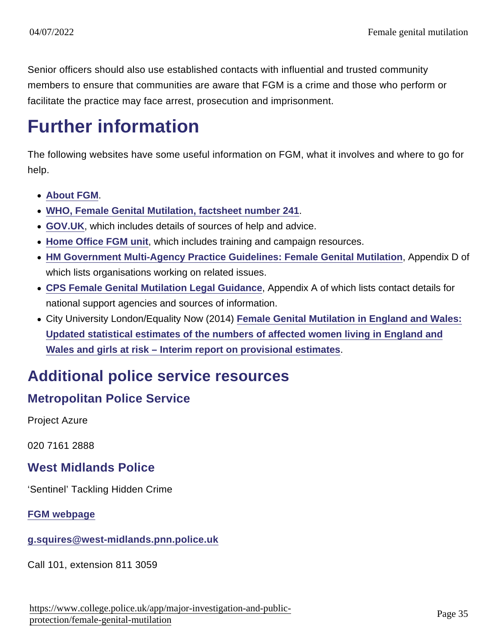Senior officers should also use established contacts with influential and trusted community members to ensure that communities are aware that FGM is a crime and those who perform or facilitate the practice may face arrest, prosecution and imprisonment.

# Further information

The following websites have some useful information on FGM, what it involves and where to go for help.

- [About FGM](http://about-fgm.co.uk/) .
- [WHO, Female Genital Mutilation, factsheet number 241](http://www.who.int/mediacentre/factsheets/fs241/en/) .
- [GOV.UK,](https://www.gov.uk/female-genital-mutilation) which includes details of sources of help and advice.
- [Home Office FGM unit](https://www.gov.uk/government/collections/female-genital-mutilation#documents), which includes training and campaign resources.
- [HM Government Multi-Agency Practice Guidelines: Female Genital Mutilation](https://www.gov.uk/government/publications/female-genital-mutilation-guidelines) , Appendix D of which lists organisations working on related issues.
- [CPS Female Genital Mutilation Legal Guidance](http://www.cps.gov.uk/legal/d_to_g/female_genital_mutilation/) , Appendix A of which lists contact details for national support agencies and sources of information.
- City University London/Equality Now (2014) [Female Genital Mutilation in England and Wales:](http://www.equalitynow.org/sites/default/files/FGM EN City Estimates.pdf) [Updated statistical estimates of the numbers of affected women living in England and](http://www.equalitynow.org/sites/default/files/FGM EN City Estimates.pdf) [Wales and girls at risk – Interim report on provisional estimates](http://www.equalitynow.org/sites/default/files/FGM EN City Estimates.pdf)

### Additional police service resources

### Metropolitan Police Service

Project Azure

020 7161 2888

West Midlands Police

'Sentinel' Tackling Hidden Crime

[FGM webpage](http://www.west-midlands.police.uk/advice-centre/help-and-advice/honour-abuse/female-genital-mutilation/)

[g.squires@west-midlands.pnn.police.uk](mailto:g.squires@west-midlands.pnn.police.uk)

Call 101, extension 811 3059